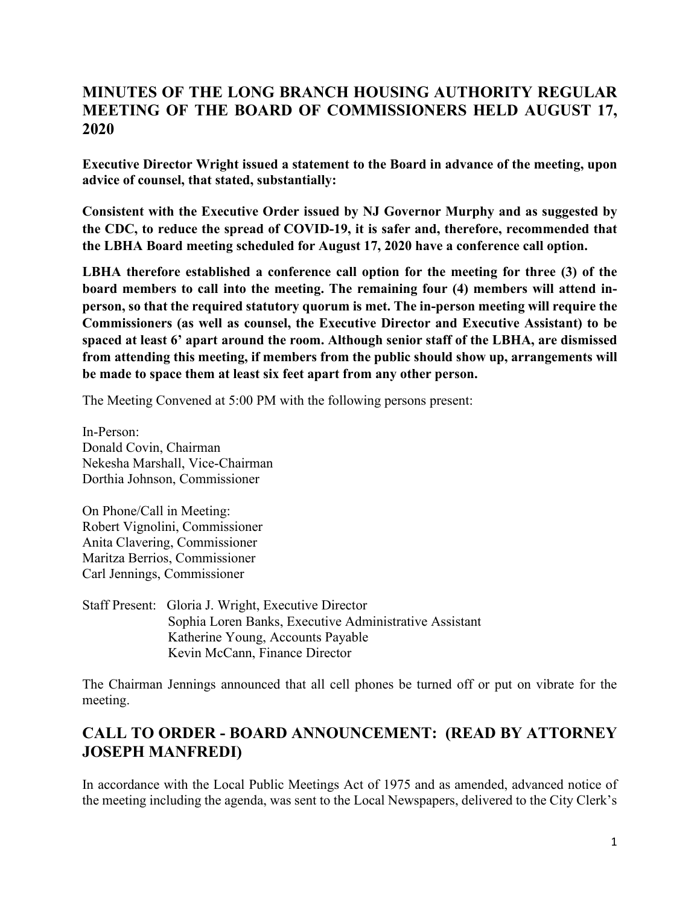# **MINUTES OF THE LONG BRANCH HOUSING AUTHORITY REGULAR MEETING OF THE BOARD OF COMMISSIONERS HELD AUGUST 17, 2020**

**Executive Director Wright issued a statement to the Board in advance of the meeting, upon advice of counsel, that stated, substantially:** 

**Consistent with the Executive Order issued by NJ Governor Murphy and as suggested by the CDC, to reduce the spread of COVID-19, it is safer and, therefore, recommended that the LBHA Board meeting scheduled for August 17, 2020 have a conference call option.**

**LBHA therefore established a conference call option for the meeting for three (3) of the board members to call into the meeting. The remaining four (4) members will attend inperson, so that the required statutory quorum is met. The in-person meeting will require the Commissioners (as well as counsel, the Executive Director and Executive Assistant) to be spaced at least 6' apart around the room. Although senior staff of the LBHA, are dismissed from attending this meeting, if members from the public should show up, arrangements will be made to space them at least six feet apart from any other person.**

The Meeting Convened at 5:00 PM with the following persons present:

In-Person: Donald Covin, Chairman Nekesha Marshall, Vice-Chairman Dorthia Johnson, Commissioner

On Phone/Call in Meeting: Robert Vignolini, Commissioner Anita Clavering, Commissioner Maritza Berrios, Commissioner Carl Jennings, Commissioner

Staff Present: Gloria J. Wright, Executive Director Sophia Loren Banks, Executive Administrative Assistant Katherine Young, Accounts Payable Kevin McCann, Finance Director

The Chairman Jennings announced that all cell phones be turned off or put on vibrate for the meeting.

# **CALL TO ORDER - BOARD ANNOUNCEMENT: (READ BY ATTORNEY JOSEPH MANFREDI)**

In accordance with the Local Public Meetings Act of 1975 and as amended, advanced notice of the meeting including the agenda, was sent to the Local Newspapers, delivered to the City Clerk's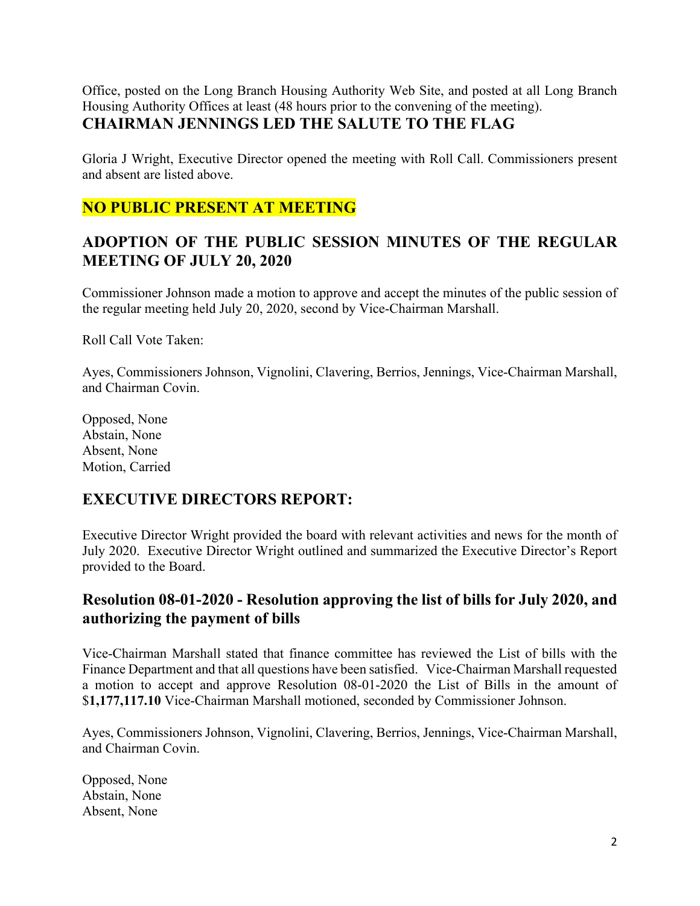Office, posted on the Long Branch Housing Authority Web Site, and posted at all Long Branch Housing Authority Offices at least (48 hours prior to the convening of the meeting). **CHAIRMAN JENNINGS LED THE SALUTE TO THE FLAG**

Gloria J Wright, Executive Director opened the meeting with Roll Call. Commissioners present and absent are listed above.

# **NO PUBLIC PRESENT AT MEETING**

## **ADOPTION OF THE PUBLIC SESSION MINUTES OF THE REGULAR MEETING OF JULY 20, 2020**

Commissioner Johnson made a motion to approve and accept the minutes of the public session of the regular meeting held July 20, 2020, second by Vice-Chairman Marshall.

Roll Call Vote Taken:

Ayes, Commissioners Johnson, Vignolini, Clavering, Berrios, Jennings, Vice-Chairman Marshall, and Chairman Covin.

Opposed, None Abstain, None Absent, None Motion, Carried

#### **EXECUTIVE DIRECTORS REPORT:**

Executive Director Wright provided the board with relevant activities and news for the month of July 2020. Executive Director Wright outlined and summarized the Executive Director's Report provided to the Board.

## **Resolution 08-01-2020 - Resolution approving the list of bills for July 2020, and authorizing the payment of bills**

Vice-Chairman Marshall stated that finance committee has reviewed the List of bills with the Finance Department and that all questions have been satisfied. Vice-Chairman Marshall requested a motion to accept and approve Resolution 08-01-2020 the List of Bills in the amount of \$**1,177,117.10** Vice-Chairman Marshall motioned, seconded by Commissioner Johnson.

Ayes, Commissioners Johnson, Vignolini, Clavering, Berrios, Jennings, Vice-Chairman Marshall, and Chairman Covin.

Opposed, None Abstain, None Absent, None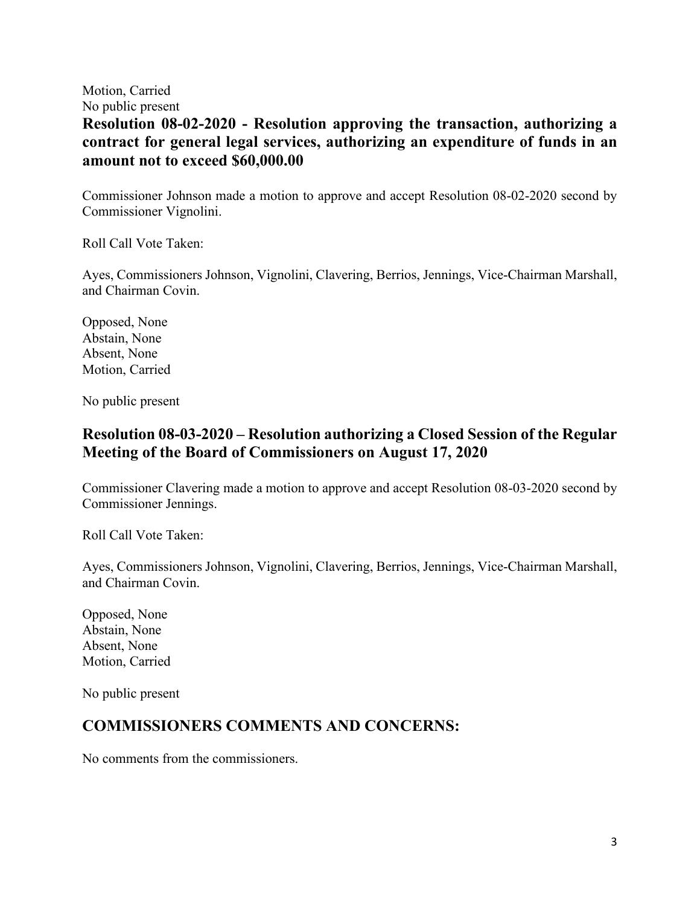Motion, Carried

No public present **Resolution 08-02-2020 - Resolution approving the transaction, authorizing a contract for general legal services, authorizing an expenditure of funds in an amount not to exceed \$60,000.00**

Commissioner Johnson made a motion to approve and accept Resolution 08-02-2020 second by Commissioner Vignolini.

Roll Call Vote Taken:

Ayes, Commissioners Johnson, Vignolini, Clavering, Berrios, Jennings, Vice-Chairman Marshall, and Chairman Covin.

Opposed, None Abstain, None Absent, None Motion, Carried

No public present

## **Resolution 08-03-2020 – Resolution authorizing a Closed Session of the Regular Meeting of the Board of Commissioners on August 17, 2020**

Commissioner Clavering made a motion to approve and accept Resolution 08-03-2020 second by Commissioner Jennings.

Roll Call Vote Taken:

Ayes, Commissioners Johnson, Vignolini, Clavering, Berrios, Jennings, Vice-Chairman Marshall, and Chairman Covin.

Opposed, None Abstain, None Absent, None Motion, Carried

No public present

#### **COMMISSIONERS COMMENTS AND CONCERNS:**

No comments from the commissioners.